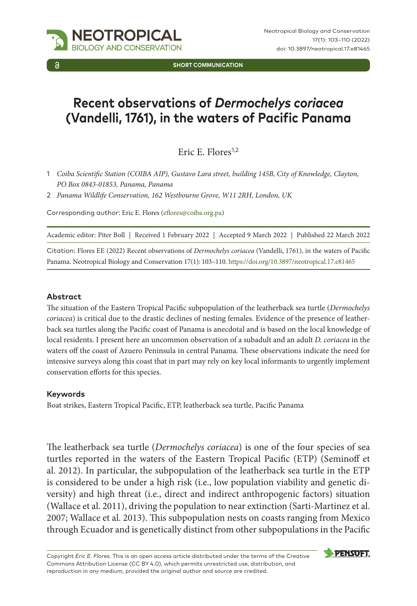

**SHORT COMMUNICATION**

# **Recent observations of** *Dermochelys coriacea* **(Vandelli, 1761), in the waters of Pacific Panama**

Eric E. Flores<sup>1,2</sup>

- 1 *Coiba Scientific Station (COIBA AIP), Gustavo Lara street, building 145B, City of Knowledge, Clayton, PO Box 0843-01853, Panama, Panama*
- 2 *Panama Wildlife Conservation, 162 Westbourne Grove, W11 2RH, London, UK*

Corresponding author: Eric E. Flores [\(eflores@coiba.org.pa\)](mailto:eflores@coiba.org.pa)

| Academic editor: Piter Boll   Received 1 February 2022   Accepted 9 March 2022   Published 22 March 2022 |  |
|----------------------------------------------------------------------------------------------------------|--|
|----------------------------------------------------------------------------------------------------------|--|

Citation: Flores EE (2022) Recent observations of *Dermochelys coriacea* (Vandelli, 1761), in the waters of Pacific Panama. Neotropical Biology and Conservation 17(1): 103–110. <https://doi.org/10.3897/neotropical.17.e81465>

#### **Abstract**

The situation of the Eastern Tropical Pacific subpopulation of the leatherback sea turtle (*Dermochelys coriacea*) is critical due to the drastic declines of nesting females. Evidence of the presence of leatherback sea turtles along the Pacific coast of Panama is anecdotal and is based on the local knowledge of local residents. I present here an uncommon observation of a subadult and an adult *D. coriacea* in the waters off the coast of Azuero Peninsula in central Panama. These observations indicate the need for intensive surveys along this coast that in part may rely on key local informants to urgently implement conservation efforts for this species.

#### **Keywords**

Boat strikes, Eastern Tropical Pacific, ETP, leatherback sea turtle, Pacific Panama

The leatherback sea turtle (*Dermochelys coriacea*) is one of the four species of sea turtles reported in the waters of the Eastern Tropical Pacific (ETP) (Seminoff et al. 2012). In particular, the subpopulation of the leatherback sea turtle in the ETP is considered to be under a high risk (i.e., low population viability and genetic diversity) and high threat (i.e., direct and indirect anthropogenic factors) situation (Wallace et al. 2011), driving the population to near extinction (Sarti-Martinez et al. 2007; Wallace et al. 2013). This subpopulation nests on coasts ranging from Mexico through Ecuador and is genetically distinct from other subpopulations in the Pacific

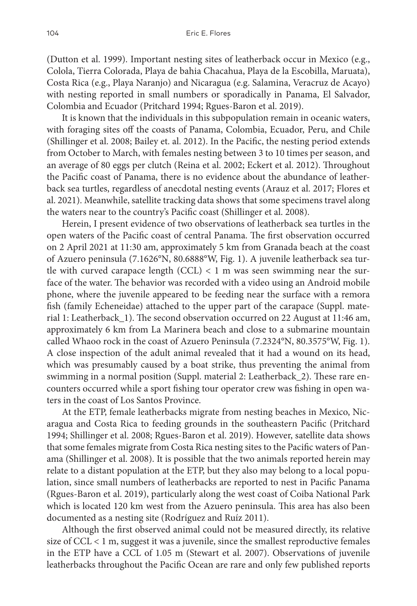(Dutton et al. 1999). Important nesting sites of leatherback occur in Mexico (e.g., Colola, Tierra Colorada, Playa de bahia Chacahua, Playa de la Escobilla, Maruata), Costa Rica (e.g., Playa Naranjo) and Nicaragua (e.g. Salamina, Veracruz de Acayo) with nesting reported in small numbers or sporadically in Panama, El Salvador, Colombia and Ecuador (Pritchard 1994; Rgues-Baron et al. 2019).

It is known that the individuals in this subpopulation remain in oceanic waters, with foraging sites off the coasts of Panama, Colombia, Ecuador, Peru, and Chile (Shillinger et al. 2008; Bailey et. al. 2012). In the Pacific, the nesting period extends from October to March, with females nesting between 3 to 10 times per season, and an average of 80 eggs per clutch (Reina et al. 2002; Eckert et al. 2012). Throughout the Pacific coast of Panama, there is no evidence about the abundance of leatherback sea turtles, regardless of anecdotal nesting events (Arauz et al. 2017; Flores et al. 2021). Meanwhile, satellite tracking data shows that some specimens travel along the waters near to the country's Pacific coast (Shillinger et al. 2008).

Herein, I present evidence of two observations of leatherback sea turtles in the open waters of the Pacific coast of central Panama. The first observation occurred on 2 April 2021 at 11:30 am, approximately 5 km from Granada beach at the coast of Azuero peninsula (7.1626°N, 80.6888°W, Fig. 1). A juvenile leatherback sea turtle with curved carapace length  $(CCL) < 1$  m was seen swimming near the surface of the water. The behavior was recorded with a video using an Android mobile phone, where the juvenile appeared to be feeding near the surface with a remora fish (family Echeneidae) attached to the upper part of the carapace (Suppl. material 1: Leatherback\_1). The second observation occurred on 22 August at 11:46 am, approximately 6 km from La Marinera beach and close to a submarine mountain called Whaoo rock in the coast of Azuero Peninsula (7.2324°N, 80.3575°W, Fig. 1). A close inspection of the adult animal revealed that it had a wound on its head, which was presumably caused by a boat strike, thus preventing the animal from swimming in a normal position (Suppl. material 2: Leatherback\_2). These rare encounters occurred while a sport fishing tour operator crew was fishing in open waters in the coast of Los Santos Province.

At the ETP, female leatherbacks migrate from nesting beaches in Mexico, Nicaragua and Costa Rica to feeding grounds in the southeastern Pacific (Pritchard 1994; Shillinger et al. 2008; Rgues-Baron et al. 2019). However, satellite data shows that some females migrate from Costa Rica nesting sites to the Pacific waters of Panama (Shillinger et al. 2008). It is possible that the two animals reported herein may relate to a distant population at the ETP, but they also may belong to a local population, since small numbers of leatherbacks are reported to nest in Pacific Panama (Rgues-Baron et al. 2019), particularly along the west coast of Coiba National Park which is located 120 km west from the Azuero peninsula. This area has also been documented as a nesting site (Rodríguez and Ruíz 2011).

Although the first observed animal could not be measured directly, its relative size of CCL < 1 m, suggest it was a juvenile, since the smallest reproductive females in the ETP have a CCL of 1.05 m (Stewart et al. 2007). Observations of juvenile leatherbacks throughout the Pacific Ocean are rare and only few published reports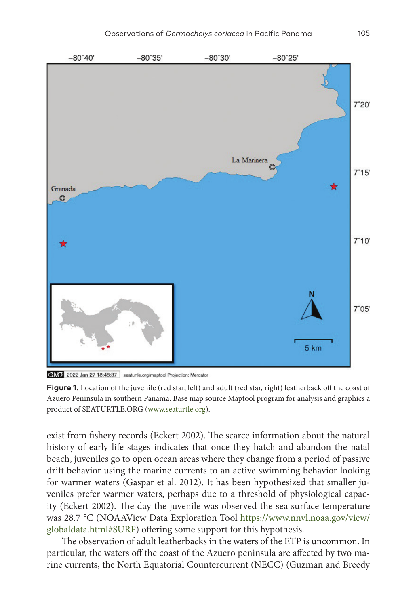

GM) 2022 Jan 27 18:48:37 seaturtle.org/maptool Projection: Mercator

**Figure 1.** Location of the juvenile (red star, left) and adult (red star, right) leatherback off the coast of Azuero Peninsula in southern Panama. Base map source Maptool program for analysis and graphics a product of SEATURTLE.ORG (www.seaturtle.org).

exist from fishery records (Eckert 2002). The scarce information about the natural history of early life stages indicates that once they hatch and abandon the natal beach, juveniles go to open ocean areas where they change from a period of passive drift behavior using the marine currents to an active swimming behavior looking for warmer waters (Gaspar et al. 2012). It has been hypothesized that smaller juveniles prefer warmer waters, perhaps due to a threshold of physiological capacity (Eckert 2002). The day the juvenile was observed the sea surface temperature was 28.7 °C (NOAAView Data Exploration Tool [https://www.nnvl.noaa.gov/view/](https://www.nnvl.noaa.gov/view/globaldata.html#SURF) [globaldata.html#SURF](https://www.nnvl.noaa.gov/view/globaldata.html#SURF)) offering some support for this hypothesis.

The observation of adult leatherbacks in the waters of the ETP is uncommon. In particular, the waters off the coast of the Azuero peninsula are affected by two marine currents, the North Equatorial Countercurrent (NECC) (Guzman and Breedy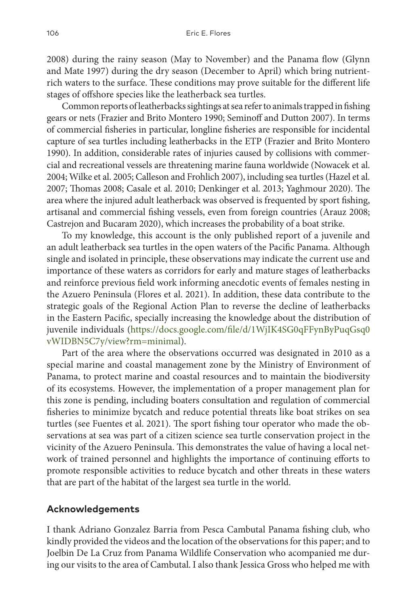2008) during the rainy season (May to November) and the Panama flow (Glynn and Mate 1997) during the dry season (December to April) which bring nutrientrich waters to the surface. These conditions may prove suitable for the different life stages of offshore species like the leatherback sea turtles.

Common reports of leatherbacks sightings at sea refer to animals trapped in fishing gears or nets (Frazier and Brito Montero 1990; Seminoff and Dutton 2007). In terms of commercial fisheries in particular, longline fisheries are responsible for incidental capture of sea turtles including leatherbacks in the ETP (Frazier and Brito Montero 1990). In addition, considerable rates of injuries caused by collisions with commercial and recreational vessels are threatening marine fauna worldwide (Nowacek et al. 2004; Wilke et al. 2005; Calleson and Frohlich 2007), including sea turtles (Hazel et al. 2007; Thomas 2008; Casale et al. 2010; Denkinger et al. 2013; Yaghmour 2020). The area where the injured adult leatherback was observed is frequented by sport fishing, artisanal and commercial fishing vessels, even from foreign countries (Arauz 2008; Castrejon and Bucaram 2020), which increases the probability of a boat strike.

To my knowledge, this account is the only published report of a juvenile and an adult leatherback sea turtles in the open waters of the Pacific Panama. Although single and isolated in principle, these observations may indicate the current use and importance of these waters as corridors for early and mature stages of leatherbacks and reinforce previous field work informing anecdotic events of females nesting in the Azuero Peninsula (Flores et al. 2021). In addition, these data contribute to the strategic goals of the Regional Action Plan to reverse the decline of leatherbacks in the Eastern Pacific, specially increasing the knowledge about the distribution of juvenile individuals ([https://docs.google.com/file/d/1WjIK4SG0qFFynByPuqGsq0](https://docs.google.com/file/d/1WjIK4SG0qFFynByPuqGsq0vWIDBN5C7y/view?rm=minimal) [vWIDBN5C7y/view?rm=minimal\)](https://docs.google.com/file/d/1WjIK4SG0qFFynByPuqGsq0vWIDBN5C7y/view?rm=minimal).

Part of the area where the observations occurred was designated in 2010 as a special marine and coastal management zone by the Ministry of Environment of Panama, to protect marine and coastal resources and to maintain the biodiversity of its ecosystems. However, the implementation of a proper management plan for this zone is pending, including boaters consultation and regulation of commercial fisheries to minimize bycatch and reduce potential threats like boat strikes on sea turtles (see Fuentes et al. 2021). The sport fishing tour operator who made the observations at sea was part of a citizen science sea turtle conservation project in the vicinity of the Azuero Peninsula. This demonstrates the value of having a local network of trained personnel and highlights the importance of continuing efforts to promote responsible activities to reduce bycatch and other threats in these waters that are part of the habitat of the largest sea turtle in the world.

#### **Acknowledgements**

I thank Adriano Gonzalez Barria from Pesca Cambutal Panama fishing club, who kindly provided the videos and the location of the observations for this paper; and to Joelbin De La Cruz from Panama Wildlife Conservation who acompanied me during our visits to the area of Cambutal. I also thank Jessica Gross who helped me with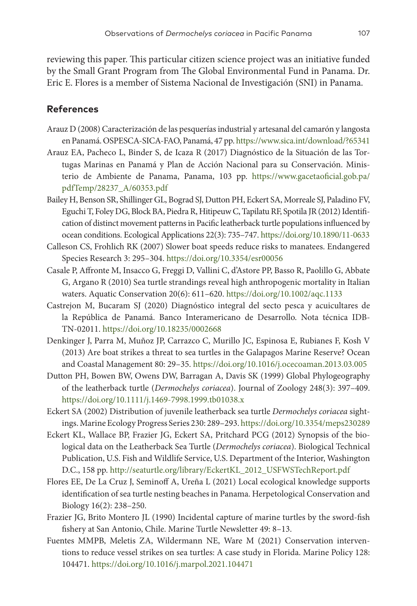reviewing this paper. This particular citizen science project was an initiative funded by the Small Grant Program from The Global Environmental Fund in Panama. Dr. Eric E. Flores is a member of Sistema Nacional de Investigación (SNI) in Panama.

### **References**

- Arauz D (2008) Caracterización de las pesquerías industrial y artesanal del camarón y langosta en Panamá. OSPESCA-SICA-FAO, Panamá, 47 pp.<https://www.sica.int/download/?65341>
- Arauz EA, Pacheco L, Binder S, de Icaza R (2017) Diagnóstico de la Situación de las Tortugas Marinas en Panamá y Plan de Acción Nacional para su Conservación. Ministerio de Ambiente de Panama, Panama, 103 pp. [https://www.gacetaoficial.gob.pa/](https://www.gacetaoficial.gob.pa/pdfTemp/28237_A/60353.pdf) [pdfTemp/28237\\_A/60353.pdf](https://www.gacetaoficial.gob.pa/pdfTemp/28237_A/60353.pdf)
- Bailey H, Benson SR, Shillinger GL, Bograd SJ, Dutton PH, Eckert SA, Morreale SJ, Paladino FV, Eguchi T, Foley DG, Block BA, Piedra R, Hitipeuw C, Tapilatu RF, Spotila JR (2012) Identification of distinct movement patterns in Pacific leatherback turtle populations influenced by ocean conditions. Ecological Applications 22(3): 735–747. <https://doi.org/10.1890/11-0633>
- Calleson CS, Frohlich RK (2007) Slower boat speeds reduce risks to manatees. Endangered Species Research 3: 295–304. <https://doi.org/10.3354/esr00056>
- Casale P, Affronte M, Insacco G, Freggi D, Vallini C, d'Astore PP, Basso R, Paolillo G, Abbate G, Argano R (2010) Sea turtle strandings reveal high anthropogenic mortality in Italian waters. Aquatic Conservation 20(6): 611–620.<https://doi.org/10.1002/aqc.1133>
- Castrejon M, Bucaram SJ (2020) Diagnóstico integral del secto pesca y acuicultares de la República de Panamá. Banco Interamericano de Desarrollo. Nota técnica IDB-TN-02011.<https://doi.org/10.18235/0002668>
- Denkinger J, Parra M, Muñoz JP, Carrazco C, Murillo JC, Espinosa E, Rubianes F, Kosh V (2013) Are boat strikes a threat to sea turtles in the Galapagos Marine Reserve? Ocean and Coastal Management 80: 29–35. <https://doi.org/10.1016/j.ocecoaman.2013.03.005>
- Dutton PH, Bowen BW, Owens DW, Barragan A, Davis SK (1999) Global Phylogeography of the leatherback turtle (*Dermochelys coriacea*). Journal of Zoology 248(3): 397–409. <https://doi.org/10.1111/j.1469-7998.1999.tb01038.x>
- Eckert SA (2002) Distribution of juvenile leatherback sea turtle *Dermochelys coriacea* sightings. Marine Ecology Progress Series 230: 289–293.<https://doi.org/10.3354/meps230289>
- Eckert KL, Wallace BP, Frazier JG, Eckert SA, Pritchard PCG (2012) Synopsis of the biological data on the Leatherback Sea Turtle (*Dermochelys coriacea*). Biological Technical Publication, U.S. Fish and Wildlife Service, U.S. Department of the Interior, Washington D.C., 158 pp. [http://seaturtle.org/library/EckertKL\\_2012\\_USFWSTechReport.pdf](http://seaturtle.org/library/EckertKL_2012_USFWSTechReport.pdf)
- Flores EE, De La Cruz J, Seminoff A, Ureña L (2021) Local ecological knowledge supports identification of sea turtle nesting beaches in Panama. Herpetological Conservation and Biology 16(2): 238–250.
- Frazier JG, Brito Montero JL (1990) Incidental capture of marine turtles by the sword-fish fishery at San Antonio, Chile. Marine Turtle Newsletter 49: 8–13.
- Fuentes MMPB, Meletis ZA, Wildermann NE, Ware M (2021) Conservation interventions to reduce vessel strikes on sea turtles: A case study in Florida. Marine Policy 128: 104471. <https://doi.org/10.1016/j.marpol.2021.104471>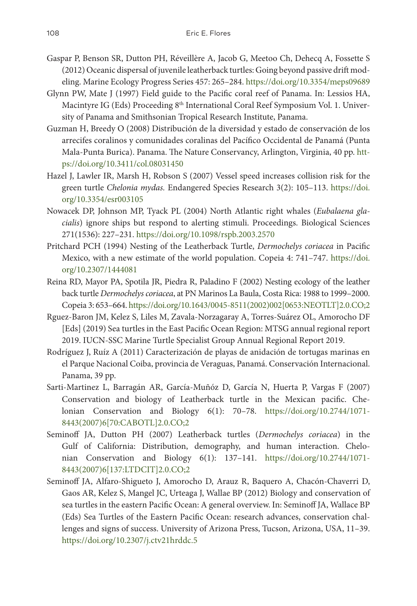- Gaspar P, Benson SR, Dutton PH, Réveillère A, Jacob G, Meetoo Ch, Dehecq A, Fossette S (2012) Oceanic dispersal of juvenile leatherback turtles: Going beyond passive drift modeling. Marine Ecology Progress Series 457: 265–284.<https://doi.org/10.3354/meps09689>
- Glynn PW, Mate J (1997) Field guide to the Pacific coral reef of Panama. In: Lessios HA, Macintyre IG (Eds) Proceeding 8<sup>th</sup> International Coral Reef Symposium Vol. 1. University of Panama and Smithsonian Tropical Research Institute, Panama.
- Guzman H, Breedy O (2008) Distribución de la diversidad y estado de conservación de los arrecifes coralinos y comunidades coralinas del Pacífico Occidental de Panamá (Punta Mala-Punta Burica). Panama. The Nature Conservancy, Arlington, Virginia, 40 pp. [htt](https://doi.org/10.3411/col.08031450)[ps://doi.org/10.3411/col.08031450](https://doi.org/10.3411/col.08031450)
- Hazel J, Lawler IR, Marsh H, Robson S (2007) Vessel speed increases collision risk for the green turtle *Chelonia mydas.* Endangered Species Research 3(2): 105–113. [https://doi.](https://doi.org/10.3354/esr003105) [org/10.3354/esr003105](https://doi.org/10.3354/esr003105)
- Nowacek DP, Johnson MP, Tyack PL (2004) North Atlantic right whales (*Eubalaena glacialis*) ignore ships but respond to alerting stimuli. Proceedings. Biological Sciences 271(1536): 227–231.<https://doi.org/10.1098/rspb.2003.2570>
- Pritchard PCH (1994) Nesting of the Leatherback Turtle, *Dermochelys coriacea* in Pacific Mexico, with a new estimate of the world population. Copeia 4: 741–747. [https://doi.](https://doi.org/10.2307/1444081) [org/10.2307/1444081](https://doi.org/10.2307/1444081)
- Reina RD, Mayor PA, Spotila JR, Piedra R, Paladino F (2002) Nesting ecology of the leather back turtle *Dermochelys coriacea*, at PN Marinos La Baula, Costa Rica: 1988 to 1999–2000. Copeia 3: 653–664. [https://doi.org/10.1643/0045-8511\(2002\)002\[0653:NEOTLT\]2.0.CO;2](https://doi.org/10.1643/0045-8511(2002)002%5B0653:NEOTLT%5D2.0.CO;2)
- Rguez-Baron JM, Kelez S, Liles M, Zavala-Norzagaray A, Torres-Suárez OL, Amorocho DF [Eds] (2019) Sea turtles in the East Pacific Ocean Region: MTSG annual regional report 2019. IUCN-SSC Marine Turtle Specialist Group Annual Regional Report 2019.
- Rodríguez J, Ruíz A (2011) Caracterización de playas de anidación de tortugas marinas en el Parque Nacional Coiba, provincia de Veraguas, Panamá. Conservación Internacional. Panama, 39 pp.
- Sarti-Martinez L, Barragán AR, García-Muñóz D, García N, Huerta P, Vargas F (2007) Conservation and biology of Leatherback turtle in the Mexican pacific. Chelonian Conservation and Biology 6(1): 70–78. [https://doi.org/10.2744/1071-](https://doi.org/10.2744/1071-8443(2007)6%5B70:CABOTL%5D2.0.CO;2) [8443\(2007\)6\[70:CABOTL\]2.0.CO;2](https://doi.org/10.2744/1071-8443(2007)6%5B70:CABOTL%5D2.0.CO;2)
- Seminoff JA, Dutton PH (2007) Leatherback turtles (*Dermochelys coriacea*) in the Gulf of California: Distribution, demography, and human interaction. Chelonian Conservation and Biology 6(1): 137–141. [https://doi.org/10.2744/1071-](https://doi.org/10.2744/1071-8443(2007)6%5B137:LTDCIT%5D2.0.CO;2) [8443\(2007\)6\[137:LTDCIT\]2.0.CO;2](https://doi.org/10.2744/1071-8443(2007)6%5B137:LTDCIT%5D2.0.CO;2)
- Seminoff JA, Alfaro-Shigueto J, Amorocho D, Arauz R, Baquero A, Chacón-Chaverri D, Gaos AR, Kelez S, Mangel JC, Urteaga J, Wallae BP (2012) Biology and conservation of sea turtles in the eastern Pacific Ocean: A general overview. In: Seminoff JA, Wallace BP (Eds) Sea Turtles of the Eastern Pacific Ocean: research advances, conservation challenges and signs of success. University of Arizona Press, Tucson, Arizona, USA, 11–39. <https://doi.org/10.2307/j.ctv21hrddc.5>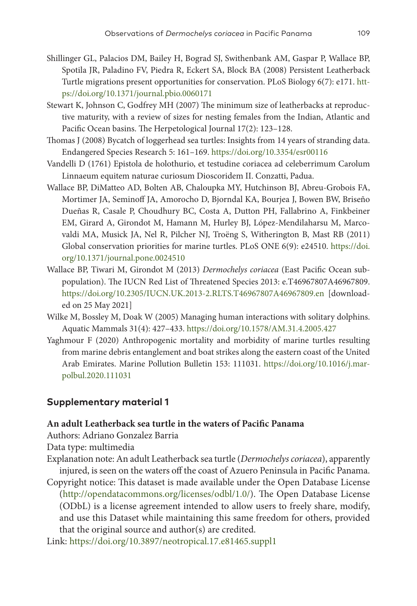- Shillinger GL, Palacios DM, Bailey H, Bograd SJ, Swithenbank AM, Gaspar P, Wallace BP, Spotila JR, Paladino FV, Piedra R, Eckert SA, Block BA (2008) Persistent Leatherback Turtle migrations present opportunities for conservation. PLoS Biology 6(7): e171. [htt](https://doi.org/10.1371/journal.pbio.0060171)[ps://doi.org/10.1371/journal.pbio.0060171](https://doi.org/10.1371/journal.pbio.0060171)
- Stewart K, Johnson C, Godfrey MH (2007) The minimum size of leatherbacks at reproductive maturity, with a review of sizes for nesting females from the Indian, Atlantic and Pacific Ocean basins. The Herpetological Journal 17(2): 123–128.
- Thomas J (2008) Bycatch of loggerhead sea turtles: Insights from 14 years of stranding data. Endangered Species Research 5: 161–169.<https://doi.org/10.3354/esr00116>
- Vandelli D (1761) Epistola de holothurio, et testudine coriacea ad celeberrimum Carolum Linnaeum equitem naturae curiosum Dioscoridem II. Conzatti, Padua.
- Wallace BP, DiMatteo AD, Bolten AB, Chaloupka MY, Hutchinson BJ, Abreu-Grobois FA, Mortimer JA, Seminoff JA, Amorocho D, Bjorndal KA, Bourjea J, Bowen BW, Briseño Dueñas R, Casale P, Choudhury BC, Costa A, Dutton PH, Fallabrino A, Finkbeiner EM, Girard A, Girondot M, Hamann M, Hurley BJ, López-Mendilaharsu M, Marcovaldi MA, Musick JA, Nel R, Pilcher NJ, Troëng S, Witherington B, Mast RB (2011) Global conservation priorities for marine turtles. PLoS ONE 6(9): e24510. [https://doi.](https://doi.org/10.1371/journal.pone.0024510) [org/10.1371/journal.pone.0024510](https://doi.org/10.1371/journal.pone.0024510)
- Wallace BP, Tiwari M, Girondot M (2013) *Dermochelys coriacea* (East Pacific Ocean subpopulation). The IUCN Red List of Threatened Species 2013: e.T46967807A46967809. <https://doi.org/10.2305/IUCN.UK.2013-2.RLTS.T46967807A46967809.en>[downloaded on 25 May 2021]
- Wilke M, Bossley M, Doak W (2005) Managing human interactions with solitary dolphins. Aquatic Mammals 31(4): 427–433. <https://doi.org/10.1578/AM.31.4.2005.427>
- Yaghmour F (2020) Anthropogenic mortality and morbidity of marine turtles resulting from marine debris entanglement and boat strikes along the eastern coast of the United Arab Emirates. Marine Pollution Bulletin 153: 111031. [https://doi.org/10.1016/j.mar](https://doi.org/10.1016/j.marpolbul.2020.111031)[polbul.2020.111031](https://doi.org/10.1016/j.marpolbul.2020.111031)

#### **Supplementary material 1**

#### **An adult Leatherback sea turtle in the waters of Pacific Panama**

- Authors: Adriano Gonzalez Barria
- Data type: multimedia
- Explanation note: An adult Leatherback sea turtle (*Dermochelys coriacea*), apparently injured, is seen on the waters off the coast of Azuero Peninsula in Pacific Panama.
- Copyright notice: This dataset is made available under the Open Database License [\(http://opendatacommons.org/licenses/odbl/1.0/\)](http://opendatacommons.org/licenses/odbl/1.0/). The Open Database License (ODbL) is a license agreement intended to allow users to freely share, modify, and use this Dataset while maintaining this same freedom for others, provided that the original source and author(s) are credited.
- Link: <https://doi.org/10.3897/neotropical.17.e81465.suppl1>